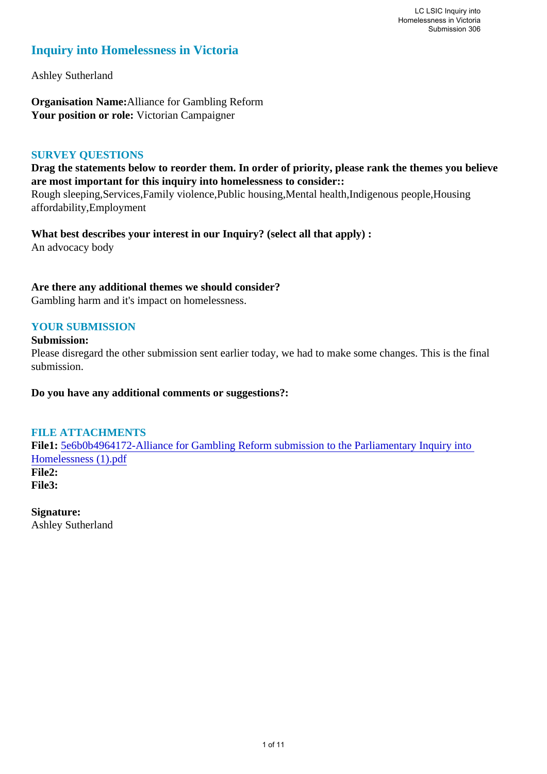# **Inquiry into Homelessness in Victoria**

Ashley Sutherland

**Organisation Name:**Alliance for Gambling Reform **Your position or role:** Victorian Campaigner

## **SURVEY QUESTIONS**

**Drag the statements below to reorder them. In order of priority, please rank the themes you believe are most important for this inquiry into homelessness to consider::** 

Rough sleeping,Services,Family violence,Public housing,Mental health,Indigenous people,Housing affordability,Employment

**What best describes your interest in our Inquiry? (select all that apply) :**  An advocacy body

## **Are there any additional themes we should consider?**

Gambling harm and it's impact on homelessness.

# **YOUR SUBMISSION**

## **Submission:**

Please disregard the other submission sent earlier today, we had to make some changes. This is the final submission.

## **Do you have any additional comments or suggestions?:**

# **FILE ATTACHMENTS**

**File1:** 5e6b0b4964172-Alliance for Gambling Reform submission to the Parliamentary Inquiry into Homelessness (1).pdf **File2:** 

**File3:** 

**Signature:** Ashley Sutherland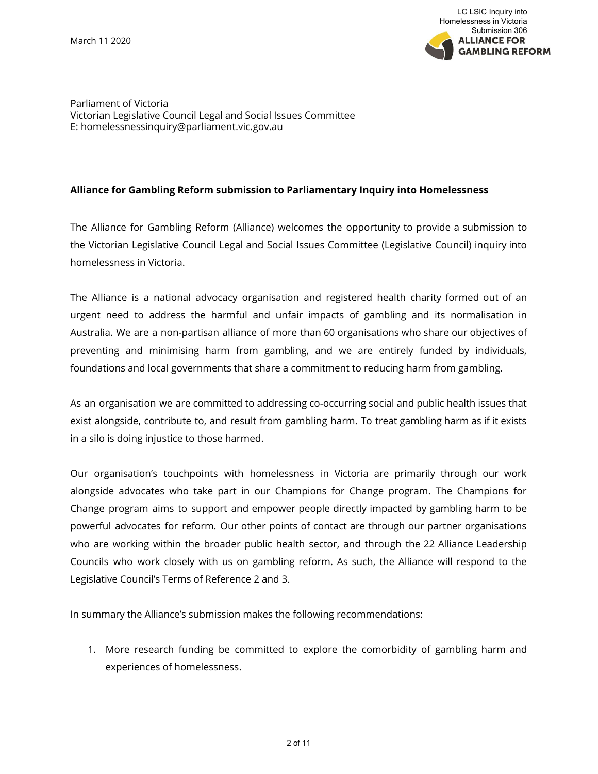

Parliament of Victoria Victorian Legislative Council Legal and Social Issues Committee E: homelessnessinquiry@parliament.vic.gov.au

#### **Alliance for Gambling Reform submission to Parliamentary Inquiry into Homelessness**

The Alliance for Gambling Reform (Alliance) welcomes the opportunity to provide a submission to the Victorian Legislative Council Legal and Social Issues Committee (Legislative Council) inquiry into homelessness in Victoria.

The Alliance is a national advocacy organisation and registered health charity formed out of an urgent need to address the harmful and unfair impacts of gambling and its normalisation in Australia. We are a non-partisan alliance of more than 60 organisations who share our objectives of preventing and minimising harm from gambling, and we are entirely funded by individuals, foundations and local governments that share a commitment to reducing harm from gambling.

As an organisation we are committed to addressing co-occurring social and public health issues that exist alongside, contribute to, and result from gambling harm. To treat gambling harm as if it exists in a silo is doing injustice to those harmed.

Our organisation's touchpoints with homelessness in Victoria are primarily through our work alongside advocates who take part in our Champions for Change program. The Champions for Change program aims to support and empower people directly impacted by gambling harm to be powerful advocates for reform. Our other points of contact are through our partner organisations who are working within the broader public health sector, and through the 22 Alliance Leadership Councils who work closely with us on gambling reform. As such, the Alliance will respond to the Legislative Council's Terms of Reference 2 and 3.

In summary the Alliance's submission makes the following recommendations:

1. More research funding be committed to explore the comorbidity of gambling harm and experiences of homelessness.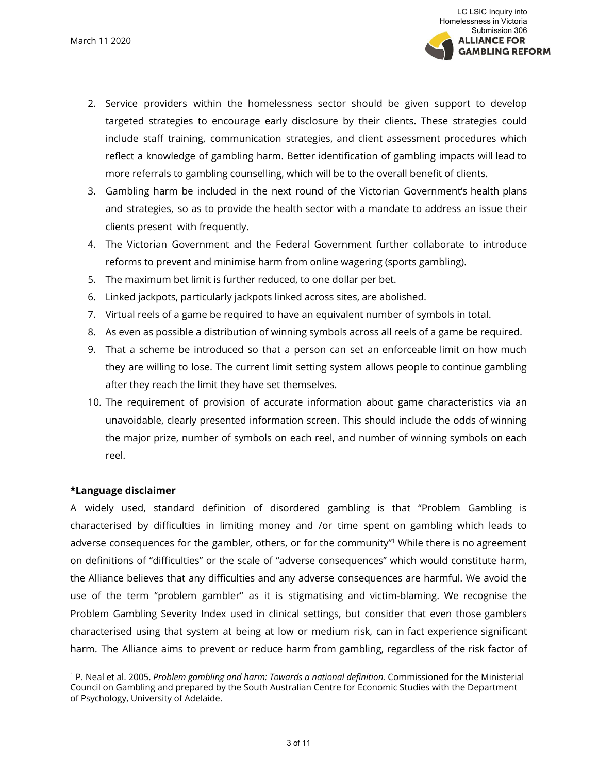

- 2. Service providers within the homelessness sector should be given support to develop targeted strategies to encourage early disclosure by their clients. These strategies could include staff training, communication strategies, and client assessment procedures which reflect a knowledge of gambling harm. Better identification of gambling impacts will lead to more referrals to gambling counselling, which will be to the overall benefit of clients.
- 3. Gambling harm be included in the next round of the Victorian Government's health plans and strategies, so as to provide the health sector with a mandate to address an issue their clients present with frequently.
- 4. The Victorian Government and the Federal Government further collaborate to introduce reforms to prevent and minimise harm from online wagering (sports gambling).
- 5. The maximum bet limit is further reduced, to one dollar per bet.
- 6. Linked jackpots, particularly jackpots linked across sites, are abolished.
- 7. Virtual reels of a game be required to have an equivalent number of symbols in total.
- 8. As even as possible a distribution of winning symbols across all reels of a game be required.
- 9. That a scheme be introduced so that a person can set an enforceable limit on how much they are willing to lose. The current limit setting system allows people to continue gambling after they reach the limit they have set themselves.
- 10. The requirement of provision of accurate information about game characteristics via an unavoidable, clearly presented information screen. This should include the odds of winning the major prize, number of symbols on each reel, and number of winning symbols on each reel.

#### **\*Language disclaimer**

A widely used, standard definition of disordered gambling is that "Problem Gambling is characterised by difficulties in limiting money and /or time spent on gambling which leads to adverse consequences for the gambler, others, or for the community"<sup>1</sup> While there is no agreement on definitions of "difficulties" or the scale of "adverse consequences" which would constitute harm, the Alliance believes that any difficulties and any adverse consequences are harmful. We avoid the use of the term "problem gambler" as it is stigmatising and victim-blaming. We recognise the Problem Gambling Severity Index used in clinical settings, but consider that even those gamblers characterised using that system at being at low or medium risk, can in fact experience significant harm. The Alliance aims to prevent or reduce harm from gambling, regardless of the risk factor of

<sup>&</sup>lt;sup>1</sup> P. Neal et al. 2005. *Problem gambling and harm: Towards a national definition.* Commissioned for the Ministerial Council on Gambling and prepared by the South Australian Centre for Economic Studies with the Department of Psychology, University of Adelaide.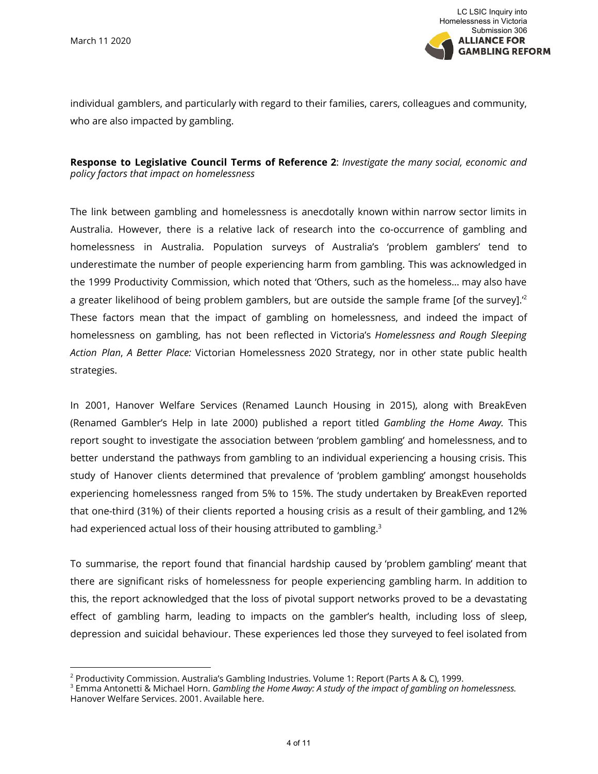

individual gamblers, and particularly with regard to their families, carers, colleagues and community, who are also impacted by gambling.

#### **Response to Legislative Council Terms of Reference 2**: *Investigate the many social, economic and policy factors that impact on homelessness*

The link between gambling and homelessness is anecdotally known within narrow sector limits in Australia. However, there is a relative lack of research into the co-occurrence of gambling and homelessness in Australia. Population surveys of Australia's 'problem gamblers' tend to underestimate the number of people experiencing harm from gambling. This was acknowledged in the 1999 Productivity Commission, which noted that 'Others, such as the homeless… may also have a greater likelihood of being problem gamblers, but are outside the sample frame [of the survey].<sup>'2</sup> These factors mean that the impact of gambling on homelessness, and indeed the impact of homelessness on gambling, has not been reflected in Victoria's *Homelessness and Rough Sleeping Action Plan*, *A Better Place:* Victorian Homelessness 2020 Strategy, nor in other state public health strategies.

In 2001, Hanover Welfare Services (Renamed Launch Housing in 2015), along with BreakEven (Renamed Gambler's Help in late 2000) published a report titled *Gambling the Home Away.* This report sought to investigate the association between 'problem gambling' and homelessness, and to better understand the pathways from gambling to an individual experiencing a housing crisis. This study of Hanover clients determined that prevalence of 'problem gambling' amongst households experiencing homelessness ranged from 5% to 15%. The study undertaken by BreakEven reported that one-third (31%) of their clients reported a housing crisis as a result of their gambling, and 12% had experienced actual loss of their housing attributed to gambling.<sup>3</sup>

To summarise, the report found that financial hardship caused by 'problem gambling' meant that there are significant risks of homelessness for people experiencing gambling harm. In addition to this, the report acknowledged that the loss of pivotal support networks proved to be a devastating effect of gambling harm, leading to impacts on the gambler's health, including loss of sleep, depression and suicidal behaviour. These experiences led those they surveyed to feel isolated from

<sup>&</sup>lt;sup>2</sup> Productivity Commission. Australia's Gambling Industries. Volume 1: Report (Parts A & C), 1999.

<sup>3</sup> Emma Antonetti & Michael Horn. *Gambling the Home Away: A study of the impact of gambling on homelessness.* Hanover Welfare Services. 2001. Available here.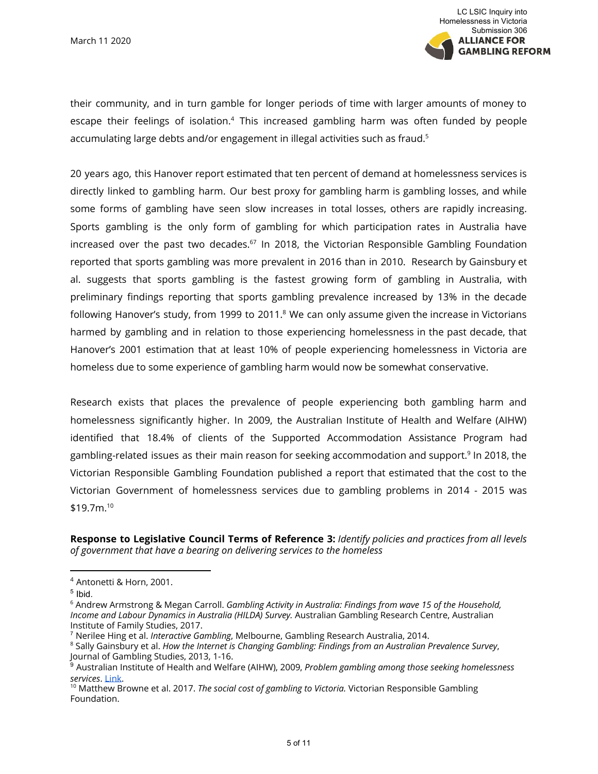

their community, and in turn gamble for longer periods of time with larger amounts of money to escape their feelings of isolation.<sup>4</sup> This increased gambling harm was often funded by people accumulating large debts and/or engagement in illegal activities such as fraud.<sup>5</sup>

20 years ago, this Hanover report estimated that ten percent of demand at homelessness services is directly linked to gambling harm. Our best proxy for gambling harm is gambling losses, and while some forms of gambling have seen slow increases in total losses, others are rapidly increasing. Sports gambling is the only form of gambling for which participation rates in Australia have increased over the past two decades.<sup> $67$ </sup> In 2018, the Victorian Responsible Gambling Foundation reported that sports gambling was more prevalent in 2016 than in 2010. Research by Gainsbury et al. suggests that sports gambling is the fastest growing form of gambling in Australia, with preliminary findings reporting that sports gambling prevalence increased by 13% in the decade following Hanover's study, from 1999 to 2011. $8$  We can only assume given the increase in Victorians harmed by gambling and in relation to those experiencing homelessness in the past decade, that Hanover's 2001 estimation that at least 10% of people experiencing homelessness in Victoria are homeless due to some experience of gambling harm would now be somewhat conservative.

Research exists that places the prevalence of people experiencing both gambling harm and homelessness significantly higher. In 2009, the Australian Institute of Health and Welfare (AIHW) identified that 18.4% of clients of the Supported Accommodation Assistance Program had gambling-related issues as their main reason for seeking accommodation and support.<sup>9</sup> In 2018, the Victorian Responsible Gambling Foundation published a report that estimated that the cost to the Victorian Government of homelessness services due to gambling problems in 2014 - 2015 was \$19.7m.<sup>10</sup>

**Response to Legislative Council Terms of Reference 3:** *Identify policies and practices from all levels of government that have a bearing on delivering services to the homeless*

<sup>4</sup> Antonetti & Horn, 2001.

<sup>&</sup>lt;sup>5</sup> Ibid.

<sup>6</sup> Andrew Armstrong & Megan Carroll. *Gambling Activity in Australia: Findings from wave 15 of the Household, Income and Labour Dynamics in Australia (HILDA) Survey.* Australian Gambling Research Centre, Australian Institute of Family Studies, 2017.

<sup>7</sup> Nerilee Hing et al. *Interactive Gambling*, Melbourne, Gambling Research Australia, 2014.

<sup>8</sup> Sally Gainsbury et al. *How the Internet is Changing Gambling: Findings from an Australian Prevalence Survey*, Journal of Gambling Studies, 2013, 1-16.

<sup>9</sup> Australian Institute of Health and Welfare (AIHW), 2009, *Problem gambling among those seeking homelessness services*. Link.

<sup>&</sup>lt;sup>10</sup> Matthew Browne et al. 2017. *The social cost of gambling to Victoria*. Victorian Responsible Gambling Foundation.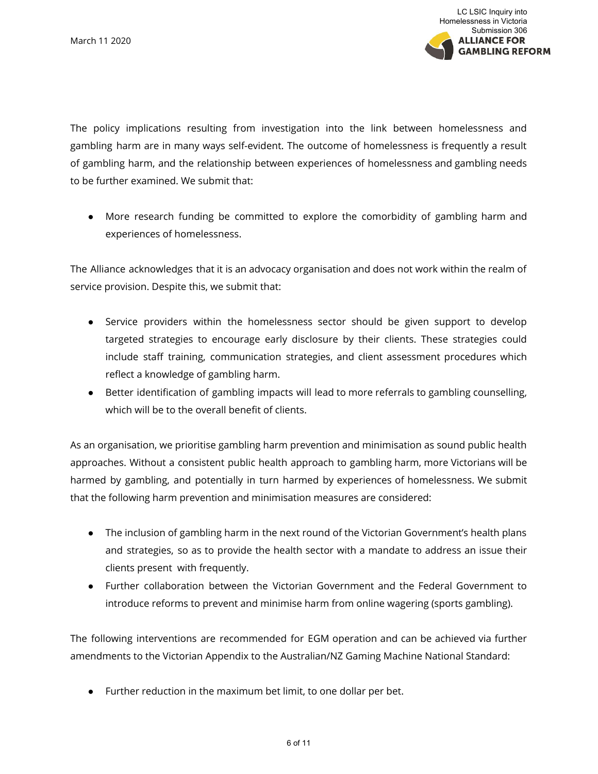

The policy implications resulting from investigation into the link between homelessness and gambling harm are in many ways self-evident. The outcome of homelessness is frequently a result of gambling harm, and the relationship between experiences of homelessness and gambling needs to be further examined. We submit that:

● More research funding be committed to explore the comorbidity of gambling harm and experiences of homelessness.

The Alliance acknowledges that it is an advocacy organisation and does not work within the realm of service provision. Despite this, we submit that:

- Service providers within the homelessness sector should be given support to develop targeted strategies to encourage early disclosure by their clients. These strategies could include staff training, communication strategies, and client assessment procedures which reflect a knowledge of gambling harm.
- Better identification of gambling impacts will lead to more referrals to gambling counselling, which will be to the overall benefit of clients.

As an organisation, we prioritise gambling harm prevention and minimisation as sound public health approaches. Without a consistent public health approach to gambling harm, more Victorians will be harmed by gambling, and potentially in turn harmed by experiences of homelessness. We submit that the following harm prevention and minimisation measures are considered:

- The inclusion of gambling harm in the next round of the Victorian Government's health plans and strategies, so as to provide the health sector with a mandate to address an issue their clients present with frequently.
- Further collaboration between the Victorian Government and the Federal Government to introduce reforms to prevent and minimise harm from online wagering (sports gambling).

The following interventions are recommended for EGM operation and can be achieved via further amendments to the Victorian Appendix to the Australian/NZ Gaming Machine National Standard:

● Further reduction in the maximum bet limit, to one dollar per bet.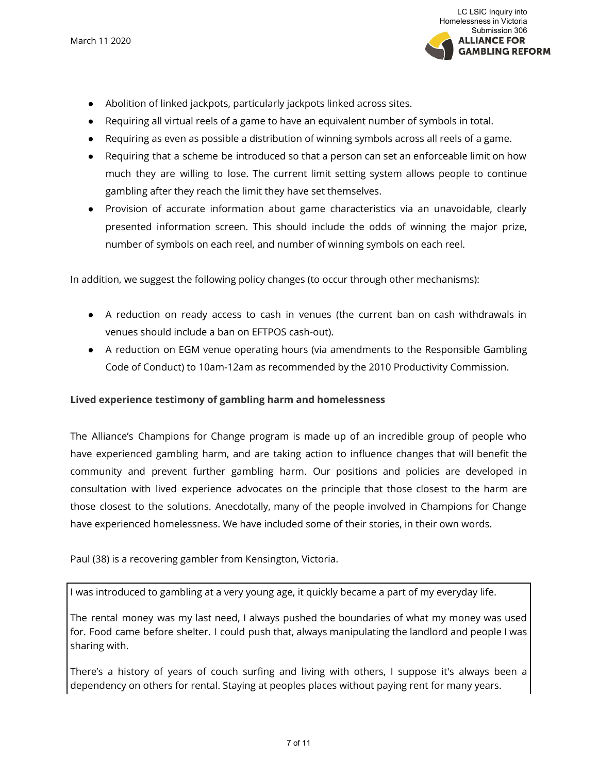

- Abolition of linked jackpots, particularly jackpots linked across sites.
- Requiring all virtual reels of a game to have an equivalent number of symbols in total.
- Requiring as even as possible a distribution of winning symbols across all reels of a game.
- Requiring that a scheme be introduced so that a person can set an enforceable limit on how much they are willing to lose. The current limit setting system allows people to continue gambling after they reach the limit they have set themselves.
- Provision of accurate information about game characteristics via an unavoidable, clearly presented information screen. This should include the odds of winning the major prize, number of symbols on each reel, and number of winning symbols on each reel.

In addition, we suggest the following policy changes (to occur through other mechanisms):

- A reduction on ready access to cash in venues (the current ban on cash withdrawals in venues should include a ban on EFTPOS cash-out).
- A reduction on EGM venue operating hours (via amendments to the Responsible Gambling Code of Conduct) to 10am-12am as recommended by the 2010 Productivity Commission.

#### **Lived experience testimony of gambling harm and homelessness**

The Alliance's Champions for Change program is made up of an incredible group of people who have experienced gambling harm, and are taking action to influence changes that will benefit the community and prevent further gambling harm. Our positions and policies are developed in consultation with lived experience advocates on the principle that those closest to the harm are those closest to the solutions. Anecdotally, many of the people involved in Champions for Change have experienced homelessness. We have included some of their stories, in their own words.

Paul (38) is a recovering gambler from Kensington, Victoria.

I was introduced to gambling at a very young age, it quickly became a part of my everyday life.

The rental money was my last need, I always pushed the boundaries of what my money was used for. Food came before shelter. I could push that, always manipulating the landlord and people I was sharing with.

There's a history of years of couch surfing and living with others, I suppose it's always been a dependency on others for rental. Staying at peoples places without paying rent for many years.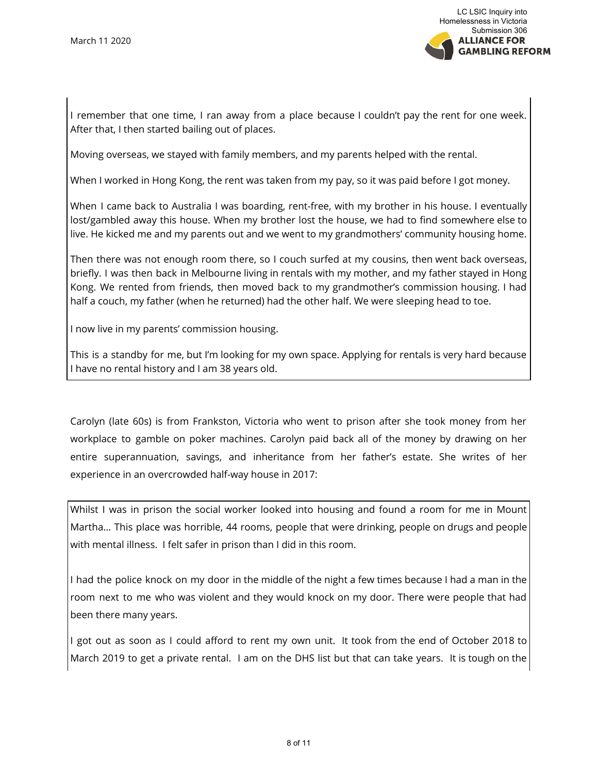

I remember that one time, I ran away from a place because I couldn't pay the rent for one week. After that, I then started bailing out of places.

Moving overseas, we stayed with family members, and my parents helped with the rental.

When I worked in Hong Kong, the rent was taken from my pay, so it was paid before I got money.

When I came back to Australia I was boarding, rent-free, with my brother in his house. I eventually lost/gambled away this house. When my brother lost the house, we had to find somewhere else to live. He kicked me and my parents out and we went to my grandmothers' community housing home.

Then there was not enough room there, so I couch surfed at my cousins, then went back overseas, briefly. I was then back in Melbourne living in rentals with my mother, and my father stayed in Hong Kong. We rented from friends, then moved back to my grandmother's commission housing. I had half a couch, my father (when he returned) had the other half. We were sleeping head to toe.

I now live in my parents' commission housing.

This is a standby for me, but I'm looking for my own space. Applying for rentals is very hard because I have no rental history and I am 38 years old.

Carolyn (late 60s) is from Frankston, Victoria who went to prison after she took money from her workplace to gamble on poker machines. Carolyn paid back all of the money by drawing on her entire superannuation, savings, and inheritance from her father's estate. She writes of her experience in an overcrowded half-way house in 2017:

Whilst I was in prison the social worker looked into housing and found a room for me in Mount Martha… This place was horrible, 44 rooms, people that were drinking, people on drugs and people with mental illness. I felt safer in prison than I did in this room.

I had the police knock on my door in the middle of the night a few times because I had a man in the room next to me who was violent and they would knock on my door. There were people that had been there many years.

I got out as soon as I could afford to rent my own unit. It took from the end of October 2018 to March 2019 to get a private rental. I am on the DHS list but that can take years. It is tough on the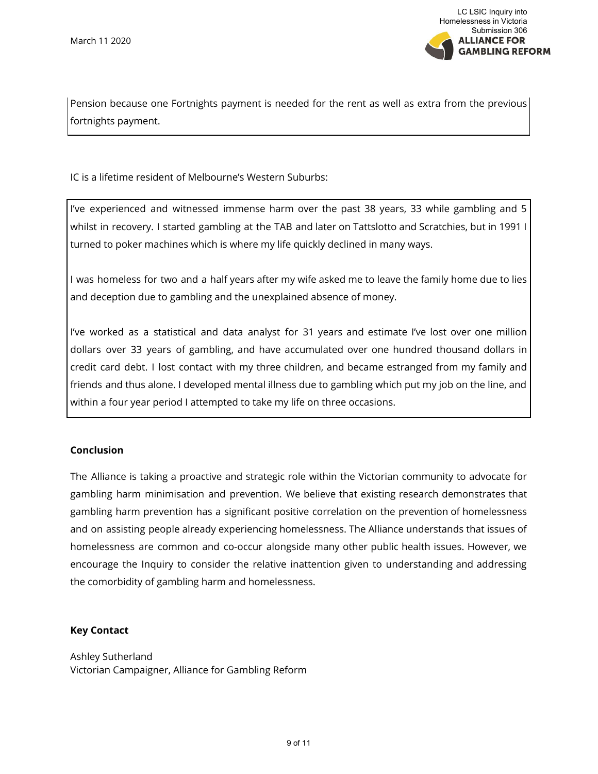

Pension because one Fortnights payment is needed for the rent as well as extra from the previous fortnights payment.

IC is a lifetime resident of Melbourne's Western Suburbs:

I've experienced and witnessed immense harm over the past 38 years, 33 while gambling and 5 whilst in recovery. I started gambling at the TAB and later on Tattslotto and Scratchies, but in 1991 I turned to poker machines which is where my life quickly declined in many ways.

I was homeless for two and a half years after my wife asked me to leave the family home due to lies and deception due to gambling and the unexplained absence of money.

I've worked as a statistical and data analyst for 31 years and estimate I've lost over one million dollars over 33 years of gambling, and have accumulated over one hundred thousand dollars in credit card debt. I lost contact with my three children, and became estranged from my family and friends and thus alone. I developed mental illness due to gambling which put my job on the line, and within a four year period I attempted to take my life on three occasions.

#### **Conclusion**

The Alliance is taking a proactive and strategic role within the Victorian community to advocate for gambling harm minimisation and prevention. We believe that existing research demonstrates that gambling harm prevention has a significant positive correlation on the prevention of homelessness and on assisting people already experiencing homelessness. The Alliance understands that issues of homelessness are common and co-occur alongside many other public health issues. However, we encourage the Inquiry to consider the relative inattention given to understanding and addressing the comorbidity of gambling harm and homelessness.

#### **Key Contact**

Ashley Sutherland Victorian Campaigner, Alliance for Gambling Reform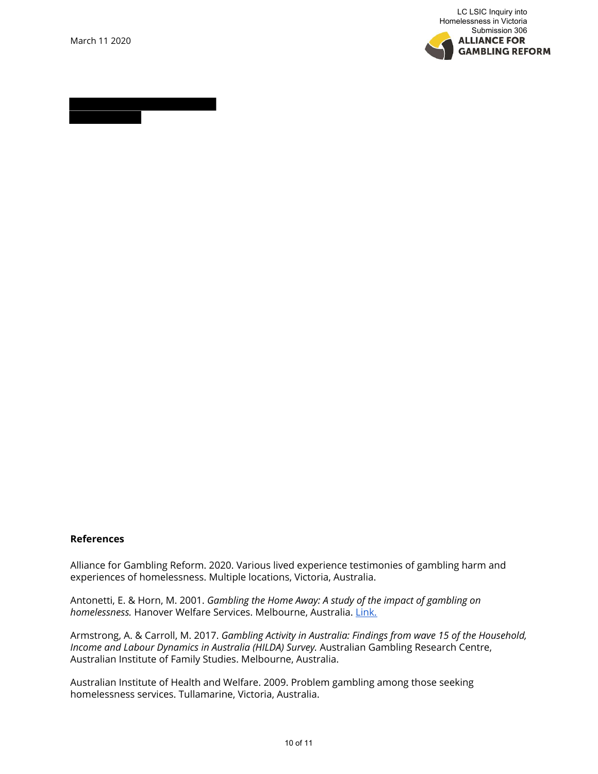March 11 2020



## **References**

Alliance for Gambling Reform. 2020. Various lived experience testimonies of gambling harm and experiences of homelessness. Multiple locations, Victoria, Australia.

Antonetti, E. & Horn, M. 2001. *Gambling the Home Away: A study of the impact of gambling on homelessness.* Hanover Welfare Services. Melbourne, Australia. Link.

Armstrong, A. & Carroll, M. 2017. *Gambling Activity in Australia: Findings from wave 15 of the Household, Income and Labour Dynamics in Australia (HILDA) Survey.* Australian Gambling Research Centre, Australian Institute of Family Studies. Melbourne, Australia.

Australian Institute of Health and Welfare. 2009. Problem gambling among those seeking homelessness services. Tullamarine, Victoria, Australia.